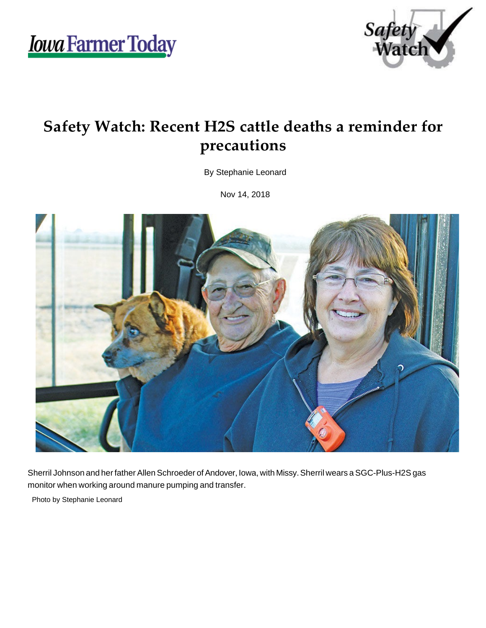*Iowa Farmer Today* 



## **Safety Watch: Recent H2S cattle deaths a reminder for precautions**

By Stephanie Leonard

Nov 14, 2018



Sherril Johnson and her father Allen Schroeder of Andover, Iowa, with Missy. Sherril wears a SGC-Plus-H2S gas monitor when working around manure pumping and transfer.

Photo by Stephanie Leonard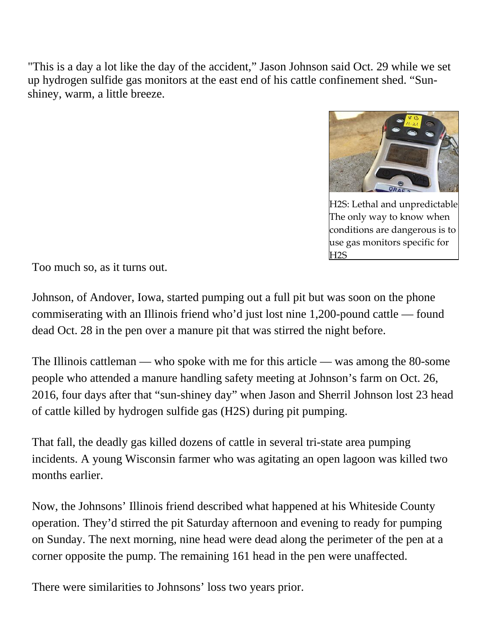"This is a day a lot like the day of the accident," Jason Johnson said Oct. 29 while we set up hydrogen sulfide gas monitors at the east end of his cattle confinement shed. "Sunshiney, warm, a little breeze.



[H2S: Lethal and unpredictable](https://www.agupdate.com/h-s-lethal-and-unpredictable/article_182ce9f6-e830-11e8-bac2-cf9573607c2b.html) The only way to know when conditions are dangerous is to use gas monitors specific for H2S

Too much so, as it turns out.

Johnson, of Andover, Iowa, started pumping out a full pit but was soon on the phone commiserating with an Illinois friend who'd just lost nine 1,200-pound cattle — found dead Oct. 28 in the pen over a manure pit that was stirred the night before.

The Illinois cattleman — who spoke with me for this article — was among the 80-some people who attended a manure handling safety meeting at Johnson's farm on Oct. 26, 2016, four days after that "sun-shiney day" when Jason and Sherril Johnson lost 23 head of cattle killed by hydrogen sulfide gas (H2S) during pit pumping.

That fall, the deadly gas killed dozens of cattle in several tri-state area pumping incidents. A young Wisconsin farmer who was agitating an open lagoon was killed two months earlier.

Now, the Johnsons' Illinois friend described what happened at his Whiteside County operation. They'd stirred the pit Saturday afternoon and evening to ready for pumping on Sunday. The next morning, nine head were dead along the perimeter of the pen at a corner opposite the pump. The remaining 161 head in the pen were unaffected.

There were similarities to Johnsons' loss two years prior.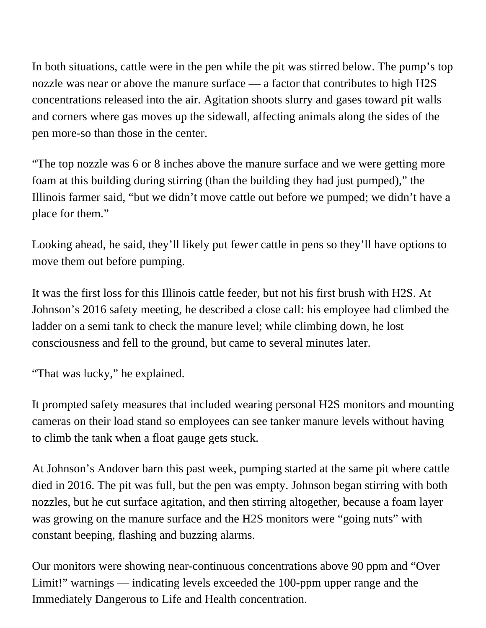In both situations, cattle were in the pen while the pit was stirred below. The pump's top nozzle was near or above the manure surface — a factor that contributes to high H2S concentrations released into the air. Agitation shoots slurry and gases toward pit walls and corners where gas moves up the sidewall, affecting animals along the sides of the pen more-so than those in the center.

"The top nozzle was 6 or 8 inches above the manure surface and we were getting more foam at this building during stirring (than the building they had just pumped)," the Illinois farmer said, "but we didn't move cattle out before we pumped; we didn't have a place for them."

Looking ahead, he said, they'll likely put fewer cattle in pens so they'll have options to move them out before pumping.

It was the first loss for this Illinois cattle feeder, but not his first brush with H2S. At Johnson's 2016 safety meeting, he described a close call: his employee had climbed the ladder on a semi tank to check the manure level; while climbing down, he lost consciousness and fell to the ground, but came to several minutes later.

"That was lucky," he explained.

It prompted safety measures that included wearing personal H2S monitors and mounting cameras on their load stand so employees can see tanker manure levels without having to climb the tank when a float gauge gets stuck.

At Johnson's Andover barn this past week, pumping started at the same pit where cattle died in 2016. The pit was full, but the pen was empty. Johnson began stirring with both nozzles, but he cut surface agitation, and then stirring altogether, because a foam layer was growing on the manure surface and the H2S monitors were "going nuts" with constant beeping, flashing and buzzing alarms.

Our monitors were showing near-continuous concentrations above 90 ppm and "Over Limit!" warnings — indicating levels exceeded the 100-ppm upper range and the Immediately Dangerous to Life and Health concentration.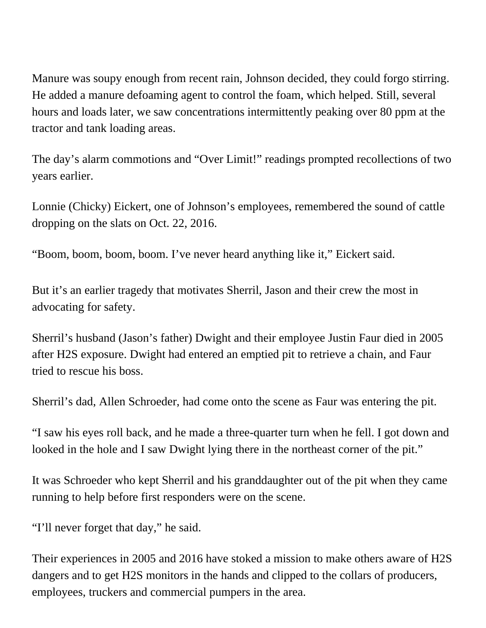Manure was soupy enough from recent rain, Johnson decided, they could forgo stirring. He added a manure defoaming agent to control the foam, which helped. Still, several hours and loads later, we saw concentrations intermittently peaking over 80 ppm at the tractor and tank loading areas.

The day's alarm commotions and "Over Limit!" readings prompted recollections of two years earlier.

Lonnie (Chicky) Eickert, one of Johnson's employees, remembered the sound of cattle dropping on the slats on Oct. 22, 2016.

"Boom, boom, boom, boom. I've never heard anything like it," Eickert said.

But it's an earlier tragedy that motivates Sherril, Jason and their crew the most in advocating for safety.

Sherril's husband (Jason's father) Dwight and their employee Justin Faur died in 2005 after H2S exposure. Dwight had entered an emptied pit to retrieve a chain, and Faur tried to rescue his boss.

Sherril's dad, Allen Schroeder, had come onto the scene as Faur was entering the pit.

"I saw his eyes roll back, and he made a three-quarter turn when he fell. I got down and looked in the hole and I saw Dwight lying there in the northeast corner of the pit."

It was Schroeder who kept Sherril and his granddaughter out of the pit when they came running to help before first responders were on the scene.

"I'll never forget that day," he said.

Their experiences in 2005 and 2016 have stoked a mission to make others aware of H2S dangers and to get H2S monitors in the hands and clipped to the collars of producers, employees, truckers and commercial pumpers in the area.